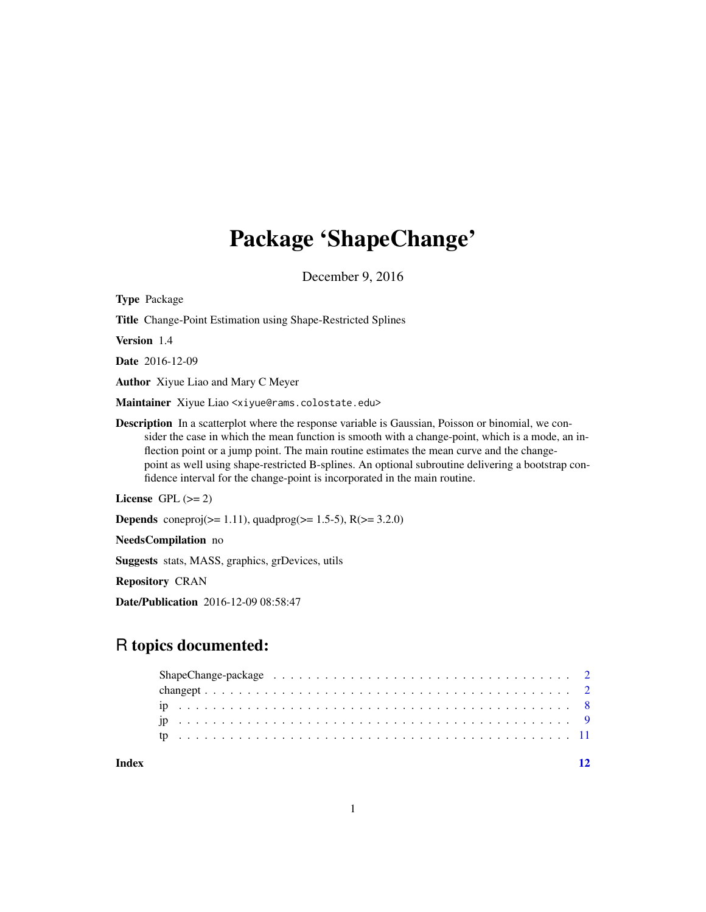## Package 'ShapeChange'

December 9, 2016

| <b>Type Package</b>                                                                                                                                                                                                                                                                                                                                                                                                                                                                            |
|------------------------------------------------------------------------------------------------------------------------------------------------------------------------------------------------------------------------------------------------------------------------------------------------------------------------------------------------------------------------------------------------------------------------------------------------------------------------------------------------|
| <b>Title</b> Change-Point Estimation using Shape-Restricted Splines                                                                                                                                                                                                                                                                                                                                                                                                                            |
| <b>Version</b> 1.4                                                                                                                                                                                                                                                                                                                                                                                                                                                                             |
| <b>Date</b> 2016-12-09                                                                                                                                                                                                                                                                                                                                                                                                                                                                         |
| <b>Author</b> Xiyue Liao and Mary C Meyer                                                                                                                                                                                                                                                                                                                                                                                                                                                      |
| Maintainer Xiyue Liao <xiyue@rams.colostate.edu></xiyue@rams.colostate.edu>                                                                                                                                                                                                                                                                                                                                                                                                                    |
| <b>Description</b> In a scatterplot where the response variable is Gaussian, Poisson or binomial, we con-<br>sider the case in which the mean function is smooth with a change-point, which is a mode, an in-<br>flection point or a jump point. The main routine estimates the mean curve and the change-<br>point as well using shape-restricted B-splines. An optional subroutine delivering a bootstrap con-<br>fidence interval for the change-point is incorporated in the main routine. |
| License $GPL (= 2)$                                                                                                                                                                                                                                                                                                                                                                                                                                                                            |
| <b>Depends</b> cone proj( $> = 1.11$ ), quadprog( $> = 1.5-5$ ), R( $> = 3.2.0$ )                                                                                                                                                                                                                                                                                                                                                                                                              |

NeedsCompilation no

Suggests stats, MASS, graphics, grDevices, utils

Repository CRAN

Date/Publication 2016-12-09 08:58:47

### R topics documented:

| Index |  |  |  |  |  |  |  |  |  |  |  |  |  |  |  |  |  |  |  |  |  |  |  |  |
|-------|--|--|--|--|--|--|--|--|--|--|--|--|--|--|--|--|--|--|--|--|--|--|--|--|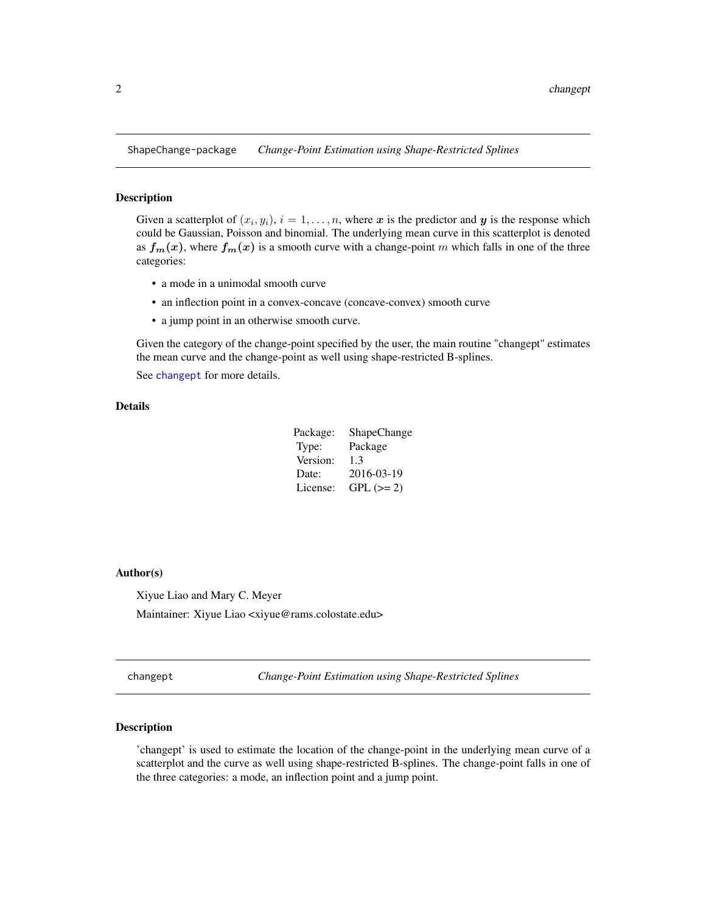<span id="page-1-0"></span>ShapeChange-package *Change-Point Estimation using Shape-Restricted Splines*

#### Description

Given a scatterplot of  $(x_i, y_i)$ ,  $i = 1, \ldots, n$ , where x is the predictor and y is the response which could be Gaussian, Poisson and binomial. The underlying mean curve in this scatterplot is denoted as  $f_m(x)$ , where  $f_m(x)$  is a smooth curve with a change-point m which falls in one of the three categories:

- a mode in a unimodal smooth curve
- an inflection point in a convex-concave (concave-convex) smooth curve
- a jump point in an otherwise smooth curve.

Given the category of the change-point specified by the user, the main routine "changept" estimates the mean curve and the change-point as well using shape-restricted B-splines.

See [changept](#page-1-1) for more details.

#### Details

| Package: | ShapeChange |
|----------|-------------|
| Type:    | Package     |
| Version: | 1.3         |
| Date:    | 2016-03-19  |
| License: | $GPL (= 2)$ |

#### Author(s)

Xiyue Liao and Mary C. Meyer

Maintainer: Xiyue Liao <xiyue@rams.colostate.edu>

<span id="page-1-1"></span>changept *Change-Point Estimation using Shape-Restricted Splines*

#### Description

'changept' is used to estimate the location of the change-point in the underlying mean curve of a scatterplot and the curve as well using shape-restricted B-splines. The change-point falls in one of the three categories: a mode, an inflection point and a jump point.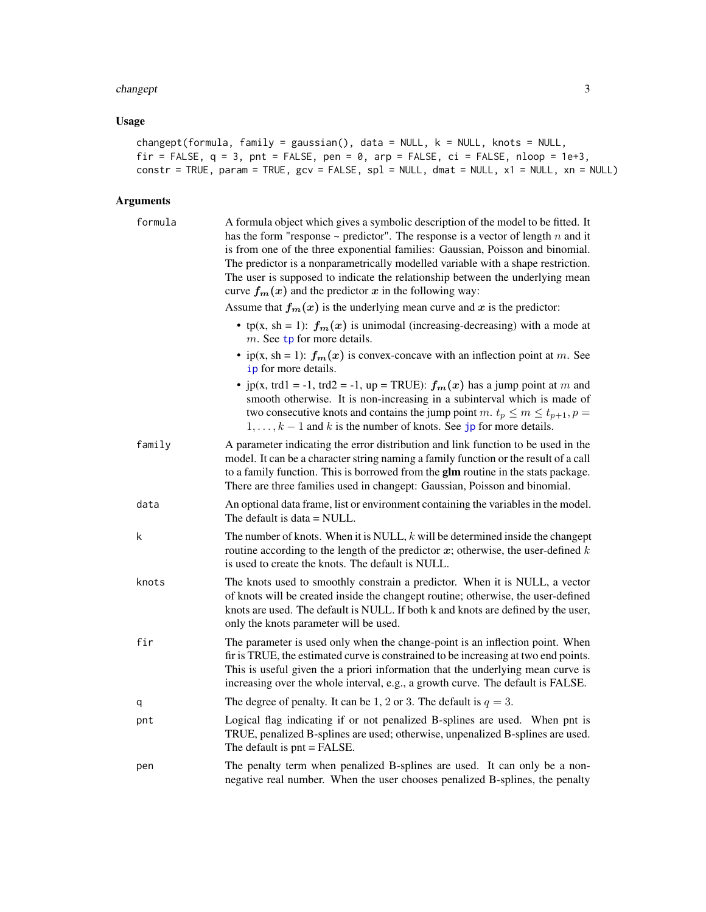#### <span id="page-2-0"></span>changept 3

### Usage

```
changept(formula, family = gaussian(), data = NULL, k = NULL, knots = NULL,
fir = FALSE, q = 3, pnt = FALSE, pen = 0, arp = FALSE, ci = FALSE, nloop = 1e+3,
constr = TRUE, param = TRUE, gcv = FALSE, spl = NULL, dmat = NULL, x1 = NULL, xn = NULL)
```
#### Arguments

| formula | A formula object which gives a symbolic description of the model to be fitted. It<br>has the form "response $\sim$ predictor". The response is a vector of length $n$ and it<br>is from one of the three exponential families: Gaussian, Poisson and binomial.<br>The predictor is a nonparametrically modelled variable with a shape restriction.<br>The user is supposed to indicate the relationship between the underlying mean<br>curve $f_m(x)$ and the predictor x in the following way: |
|---------|-------------------------------------------------------------------------------------------------------------------------------------------------------------------------------------------------------------------------------------------------------------------------------------------------------------------------------------------------------------------------------------------------------------------------------------------------------------------------------------------------|
|         | Assume that $f_m(x)$ is the underlying mean curve and x is the predictor:                                                                                                                                                                                                                                                                                                                                                                                                                       |
|         | • tp(x, sh = 1): $f_m(x)$ is unimodal (increasing-decreasing) with a mode at<br>$m$ . See tp for more details.                                                                                                                                                                                                                                                                                                                                                                                  |
|         | • ip(x, sh = 1): $f_m(x)$ is convex-concave with an inflection point at m. See<br>ip for more details.                                                                                                                                                                                                                                                                                                                                                                                          |
|         | • jp(x, trd1 = -1, trd2 = -1, up = TRUE): $f_m(x)$ has a jump point at m and<br>smooth otherwise. It is non-increasing in a subinterval which is made of<br>two consecutive knots and contains the jump point m. $t_p \le m \le t_{p+1}$ , $p =$<br>$1, \ldots, k-1$ and k is the number of knots. See jp for more details.                                                                                                                                                                     |
| family  | A parameter indicating the error distribution and link function to be used in the<br>model. It can be a character string naming a family function or the result of a call<br>to a family function. This is borrowed from the glm routine in the stats package.<br>There are three families used in changept: Gaussian, Poisson and binomial.                                                                                                                                                    |
| data    | An optional data frame, list or environment containing the variables in the model.<br>The default is data = NULL.                                                                                                                                                                                                                                                                                                                                                                               |
| k       | The number of knots. When it is NULL, $k$ will be determined inside the changept<br>routine according to the length of the predictor $x$ ; otherwise, the user-defined $k$<br>is used to create the knots. The default is NULL.                                                                                                                                                                                                                                                                 |
| knots   | The knots used to smoothly constrain a predictor. When it is NULL, a vector<br>of knots will be created inside the changept routine; otherwise, the user-defined<br>knots are used. The default is NULL. If both k and knots are defined by the user,<br>only the knots parameter will be used.                                                                                                                                                                                                 |
| fir     | The parameter is used only when the change-point is an inflection point. When<br>fir is TRUE, the estimated curve is constrained to be increasing at two end points.<br>This is useful given the a priori information that the underlying mean curve is<br>increasing over the whole interval, e.g., a growth curve. The default is FALSE.                                                                                                                                                      |
| q       | The degree of penalty. It can be 1, 2 or 3. The default is $q = 3$ .                                                                                                                                                                                                                                                                                                                                                                                                                            |
| pnt     | Logical flag indicating if or not penalized B-splines are used. When pnt is<br>TRUE, penalized B-splines are used; otherwise, unpenalized B-splines are used.<br>The default is $pnt = FALSE$ .                                                                                                                                                                                                                                                                                                 |
| pen     | The penalty term when penalized B-splines are used. It can only be a non-<br>negative real number. When the user chooses penalized B-splines, the penalty                                                                                                                                                                                                                                                                                                                                       |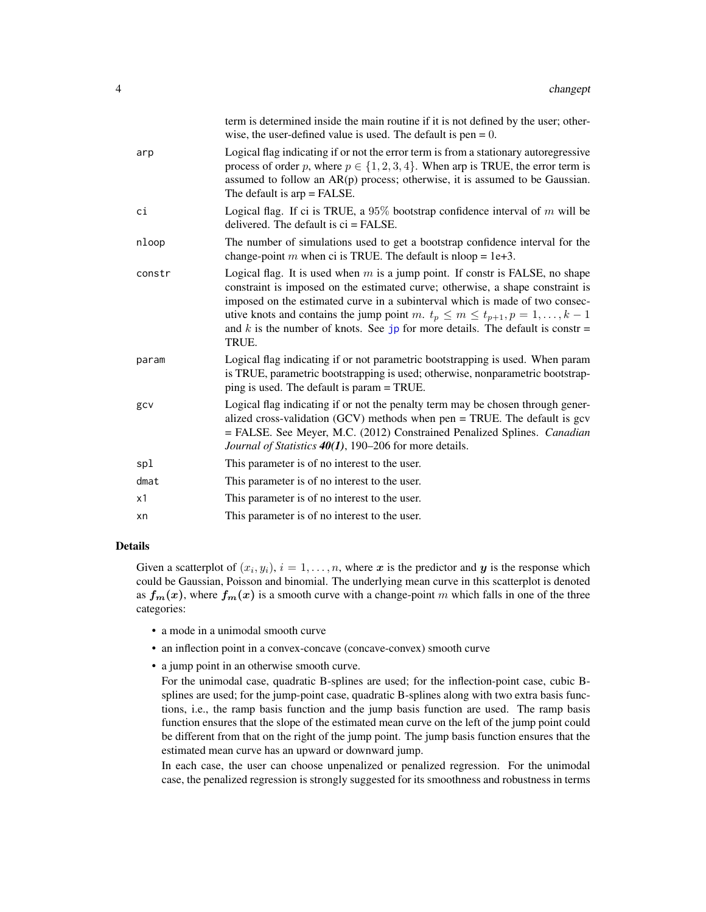<span id="page-3-0"></span>

|        | term is determined inside the main routine if it is not defined by the user; other-<br>wise, the user-defined value is used. The default is $pen = 0$ .                                                                                                                                                                                                                                                                            |
|--------|------------------------------------------------------------------------------------------------------------------------------------------------------------------------------------------------------------------------------------------------------------------------------------------------------------------------------------------------------------------------------------------------------------------------------------|
| arp    | Logical flag indicating if or not the error term is from a stationary autoregressive<br>process of order p, where $p \in \{1, 2, 3, 4\}$ . When arp is TRUE, the error term is<br>assumed to follow an $AR(p)$ process; otherwise, it is assumed to be Gaussian.<br>The default is $arp = FALSE$ .                                                                                                                                 |
| сi     | Logical flag. If ci is TRUE, a $95\%$ bootstrap confidence interval of m will be<br>delivered. The default is $ci = FALSE$ .                                                                                                                                                                                                                                                                                                       |
| nloop  | The number of simulations used to get a bootstrap confidence interval for the<br>change-point m when ci is TRUE. The default is nloop = $1e+3$ .                                                                                                                                                                                                                                                                                   |
| constr | Logical flag. It is used when $m$ is a jump point. If constr is FALSE, no shape<br>constraint is imposed on the estimated curve; otherwise, a shape constraint is<br>imposed on the estimated curve in a subinterval which is made of two consec-<br>utive knots and contains the jump point m. $t_p \le m \le t_{p+1}, p = 1, , k-1$<br>and $k$ is the number of knots. See jp for more details. The default is constr =<br>TRUE. |
| param  | Logical flag indicating if or not parametric bootstrapping is used. When param<br>is TRUE, parametric bootstrapping is used; otherwise, nonparametric bootstrap-<br>ping is used. The default is param = TRUE.                                                                                                                                                                                                                     |
| gcv    | Logical flag indicating if or not the penalty term may be chosen through gener-<br>alized cross-validation (GCV) methods when $pen = TRUE$ . The default is gcv<br>= FALSE. See Meyer, M.C. (2012) Constrained Penalized Splines. Canadian<br>Journal of Statistics $40(1)$ , 190–206 for more details.                                                                                                                            |
| spl    | This parameter is of no interest to the user.                                                                                                                                                                                                                                                                                                                                                                                      |
| dmat   | This parameter is of no interest to the user.                                                                                                                                                                                                                                                                                                                                                                                      |
| x1     | This parameter is of no interest to the user.                                                                                                                                                                                                                                                                                                                                                                                      |
| xn     | This parameter is of no interest to the user.                                                                                                                                                                                                                                                                                                                                                                                      |

#### Details

Given a scatterplot of  $(x_i, y_i)$ ,  $i = 1, \ldots, n$ , where x is the predictor and y is the response which could be Gaussian, Poisson and binomial. The underlying mean curve in this scatterplot is denoted as  $f_m(x)$ , where  $f_m(x)$  is a smooth curve with a change-point m which falls in one of the three categories:

- a mode in a unimodal smooth curve
- an inflection point in a convex-concave (concave-convex) smooth curve
- a jump point in an otherwise smooth curve.

For the unimodal case, quadratic B-splines are used; for the inflection-point case, cubic Bsplines are used; for the jump-point case, quadratic B-splines along with two extra basis functions, i.e., the ramp basis function and the jump basis function are used. The ramp basis function ensures that the slope of the estimated mean curve on the left of the jump point could be different from that on the right of the jump point. The jump basis function ensures that the estimated mean curve has an upward or downward jump.

In each case, the user can choose unpenalized or penalized regression. For the unimodal case, the penalized regression is strongly suggested for its smoothness and robustness in terms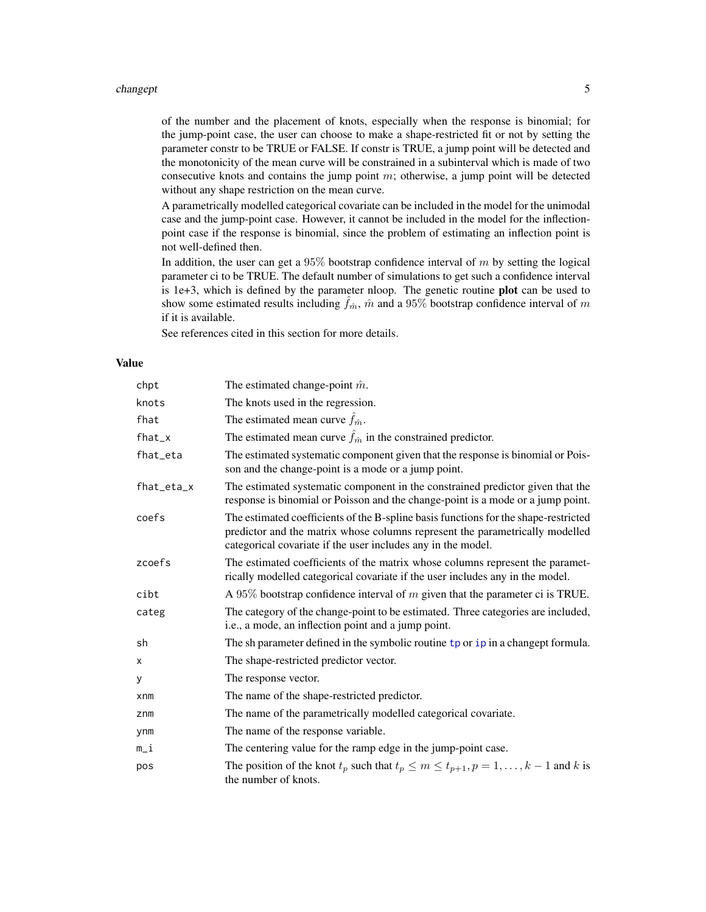#### <span id="page-4-0"></span>changept 5

of the number and the placement of knots, especially when the response is binomial; for the jump-point case, the user can choose to make a shape-restricted fit or not by setting the parameter constr to be TRUE or FALSE. If constr is TRUE, a jump point will be detected and the monotonicity of the mean curve will be constrained in a subinterval which is made of two consecutive knots and contains the jump point m; otherwise, a jump point will be detected without any shape restriction on the mean curve.

A parametrically modelled categorical covariate can be included in the model for the unimodal case and the jump-point case. However, it cannot be included in the model for the inflectionpoint case if the response is binomial, since the problem of estimating an inflection point is not well-defined then.

In addition, the user can get a  $95\%$  bootstrap confidence interval of m by setting the logical parameter ci to be TRUE. The default number of simulations to get such a confidence interval is 1e+3, which is defined by the parameter nloop. The genetic routine plot can be used to show some estimated results including  $\hat{f}_{\hat{m}}$ ,  $\hat{m}$  and a 95% bootstrap confidence interval of m if it is available.

See references cited in this section for more details.

### Value

| chpt       | The estimated change-point $\hat{m}$ .                                                                                                                                                                                              |
|------------|-------------------------------------------------------------------------------------------------------------------------------------------------------------------------------------------------------------------------------------|
| knots      | The knots used in the regression.                                                                                                                                                                                                   |
| fhat       | The estimated mean curve $\hat{f}_{\hat{m}}$ .                                                                                                                                                                                      |
| fhat_x     | The estimated mean curve $\hat{f}_{\hat{m}}$ in the constrained predictor.                                                                                                                                                          |
| fhat_eta   | The estimated systematic component given that the response is binomial or Pois-<br>son and the change-point is a mode or a jump point.                                                                                              |
| fhat_eta_x | The estimated systematic component in the constrained predictor given that the<br>response is binomial or Poisson and the change-point is a mode or a jump point.                                                                   |
| coefs      | The estimated coefficients of the B-spline basis functions for the shape-restricted<br>predictor and the matrix whose columns represent the parametrically modelled<br>categorical covariate if the user includes any in the model. |
| zcoefs     | The estimated coefficients of the matrix whose columns represent the paramet-<br>rically modelled categorical covariate if the user includes any in the model.                                                                      |
| cibt       | A 95% bootstrap confidence interval of $m$ given that the parameter ci is TRUE.                                                                                                                                                     |
| categ      | The category of the change-point to be estimated. Three categories are included,<br>i.e., a mode, an inflection point and a jump point.                                                                                             |
| sh         | The sh parameter defined in the symbolic routine tp or ip in a changept formula.                                                                                                                                                    |
| X          | The shape-restricted predictor vector.                                                                                                                                                                                              |
| У          | The response vector.                                                                                                                                                                                                                |
| xnm        | The name of the shape-restricted predictor.                                                                                                                                                                                         |
| znm        | The name of the parametrically modelled categorical covariate.                                                                                                                                                                      |
| ynm        | The name of the response variable.                                                                                                                                                                                                  |
| m_i        | The centering value for the ramp edge in the jump-point case.                                                                                                                                                                       |
| pos        | The position of the knot $t_p$ such that $t_p \le m \le t_{p+1}, p = 1, \ldots, k-1$ and k is<br>the number of knots.                                                                                                               |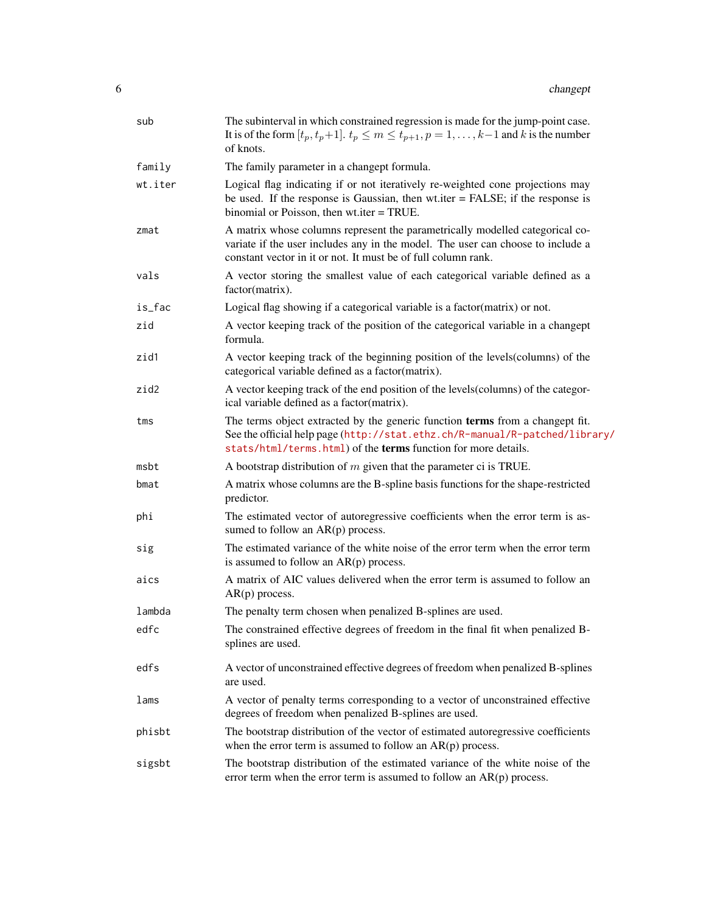| sub     | The subinterval in which constrained regression is made for the jump-point case.<br>It is of the form $[t_p, t_p+1]$ . $t_p \le m \le t_{p+1}, p = 1, \ldots, k-1$ and k is the number<br>of knots.                              |
|---------|----------------------------------------------------------------------------------------------------------------------------------------------------------------------------------------------------------------------------------|
| family  | The family parameter in a changept formula.                                                                                                                                                                                      |
| wt.iter | Logical flag indicating if or not iteratively re-weighted cone projections may<br>be used. If the response is Gaussian, then wt. iter $=$ FALSE; if the response is<br>binomial or Poisson, then wt.iter = TRUE.                 |
| zmat    | A matrix whose columns represent the parametrically modelled categorical co-<br>variate if the user includes any in the model. The user can choose to include a<br>constant vector in it or not. It must be of full column rank. |
| vals    | A vector storing the smallest value of each categorical variable defined as a<br>factor(matrix).                                                                                                                                 |
| is_fac  | Logical flag showing if a categorical variable is a factor(matrix) or not.                                                                                                                                                       |
| zid     | A vector keeping track of the position of the categorical variable in a changept<br>formula.                                                                                                                                     |
| zid1    | A vector keeping track of the beginning position of the levels(columns) of the<br>categorical variable defined as a factor(matrix).                                                                                              |
| zid2    | A vector keeping track of the end position of the levels (columns) of the categor-<br>ical variable defined as a factor(matrix).                                                                                                 |
| tms     | The terms object extracted by the generic function terms from a changept fit.<br>See the official help page (http://stat.ethz.ch/R-manual/R-patched/library/<br>stats/html/terms.html) of the terms function for more details.   |
| msbt    | A bootstrap distribution of $m$ given that the parameter ci is TRUE.                                                                                                                                                             |
| bmat    | A matrix whose columns are the B-spline basis functions for the shape-restricted<br>predictor.                                                                                                                                   |
| phi     | The estimated vector of autoregressive coefficients when the error term is as-<br>sumed to follow an $AR(p)$ process.                                                                                                            |
| sig     | The estimated variance of the white noise of the error term when the error term<br>is assumed to follow an $AR(p)$ process.                                                                                                      |
| aics    | A matrix of AIC values delivered when the error term is assumed to follow an<br>$AR(p)$ process.                                                                                                                                 |
| lambda  | The penalty term chosen when penalized B-splines are used.                                                                                                                                                                       |
| edfc    | The constrained effective degrees of freedom in the final fit when penalized B-<br>splines are used.                                                                                                                             |
| edfs    | A vector of unconstrained effective degrees of freedom when penalized B-splines<br>are used.                                                                                                                                     |
| lams    | A vector of penalty terms corresponding to a vector of unconstrained effective<br>degrees of freedom when penalized B-splines are used.                                                                                          |
| phisbt  | The bootstrap distribution of the vector of estimated autoregressive coefficients<br>when the error term is assumed to follow an $AR(p)$ process.                                                                                |
| sigsbt  | The bootstrap distribution of the estimated variance of the white noise of the<br>error term when the error term is assumed to follow an $AR(p)$ process.                                                                        |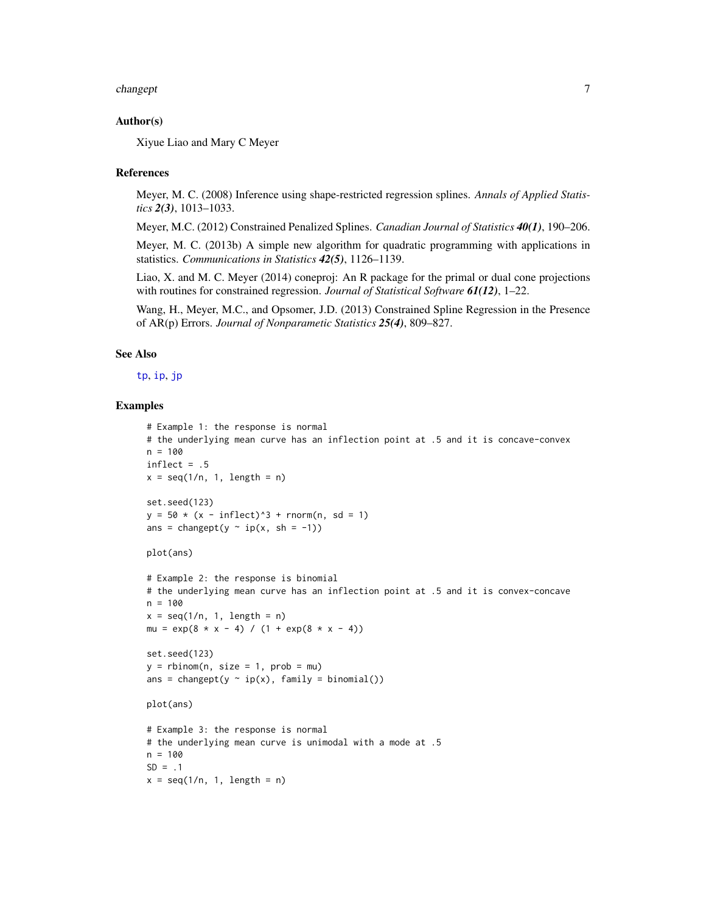#### <span id="page-6-0"></span>changept 7 and 2008 and 2008 and 2008 and 2008 and 2008 and 2008 and 2008 and 2008 and 2008 and 2008 and 2008 and 2008 and 2008 and 2008 and 2008 and 2008 and 2008 and 2008 and 2008 and 2008 and 2008 and 2008 and 2008 and

#### Author(s)

Xiyue Liao and Mary C Meyer

#### References

Meyer, M. C. (2008) Inference using shape-restricted regression splines. *Annals of Applied Statistics 2(3)*, 1013–1033.

Meyer, M.C. (2012) Constrained Penalized Splines. *Canadian Journal of Statistics 40(1)*, 190–206.

Meyer, M. C. (2013b) A simple new algorithm for quadratic programming with applications in statistics. *Communications in Statistics 42(5)*, 1126–1139.

Liao, X. and M. C. Meyer (2014) coneproj: An R package for the primal or dual cone projections with routines for constrained regression. *Journal of Statistical Software 61(12)*, 1–22.

Wang, H., Meyer, M.C., and Opsomer, J.D. (2013) Constrained Spline Regression in the Presence of AR(p) Errors. *Journal of Nonparametic Statistics 25(4)*, 809–827.

#### See Also

[tp](#page-10-1), [ip](#page-7-1), [jp](#page-8-1)

#### Examples

```
# Example 1: the response is normal
# the underlying mean curve has an inflection point at .5 and it is concave-convex
n = 100inflect = .5x = \text{seq}(1/n, 1, \text{length} = n)set.seed(123)
y = 50 * (x - inflect)^3 + rnorm(n, sd = 1)ans = changept(y \sim ip(x, sh = -1))
plot(ans)
# Example 2: the response is binomial
# the underlying mean curve has an inflection point at .5 and it is convex-concave
n = 100
x = \text{seq}(1/n, 1, \text{length} = n)mu = exp(8 \times x - 4) / (1 + exp(8 \times x - 4))set.seed(123)
y = rbinom(n, size = 1, prob = mu)
ans = changept(y \sim ip(x), family = binomial())
plot(ans)
# Example 3: the response is normal
# the underlying mean curve is unimodal with a mode at .5
n = 100
SD = .1x = \text{seq}(1/n, 1, \text{length} = n)
```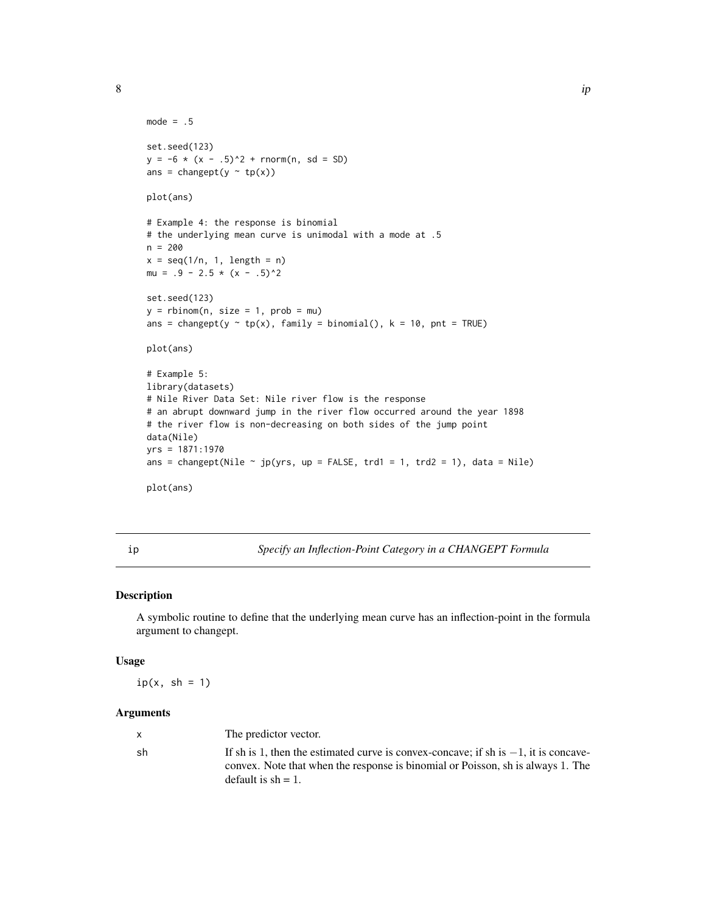```
mode = .5set.seed(123)
y = -6 \times (x - .5)^2 + \text{rnorm}(n, \text{sd} = SD)ans = changept(y \sim tp(x))
plot(ans)
# Example 4: the response is binomial
# the underlying mean curve is unimodal with a mode at .5
n = 200
x = seq(1/n, 1, length = n)mu = .9 - 2.5 * (x - .5)^2set.seed(123)
y = rbinom(n, size = 1, prob = mu)
ans = changept(y \sim tp(x), family = binomial(), k = 10, pnt = TRUE)
plot(ans)
# Example 5:
library(datasets)
# Nile River Data Set: Nile river flow is the response
# an abrupt downward jump in the river flow occurred around the year 1898
# the river flow is non-decreasing on both sides of the jump point
data(Nile)
yrs = 1871:1970
ans = changept(Nile \sim jp(yrs, up = FALSE, trd1 = 1, trd2 = 1), data = Nile)
plot(ans)
```
<span id="page-7-1"></span>ip *Specify an Inflection-Point Category in a CHANGEPT Formula*

#### Description

A symbolic routine to define that the underlying mean curve has an inflection-point in the formula argument to changept.

#### Usage

 $ip(x, sh = 1)$ 

#### Arguments

| X. | The predictor vector.                                                                                                                                                     |
|----|---------------------------------------------------------------------------------------------------------------------------------------------------------------------------|
| sh | If sh is 1, then the estimated curve is convex-concave; if sh is $-1$ , it is concave-<br>convex. Note that when the response is binomial or Poisson, sh is always 1. The |
|    | default is $sh = 1$ .                                                                                                                                                     |

<span id="page-7-0"></span>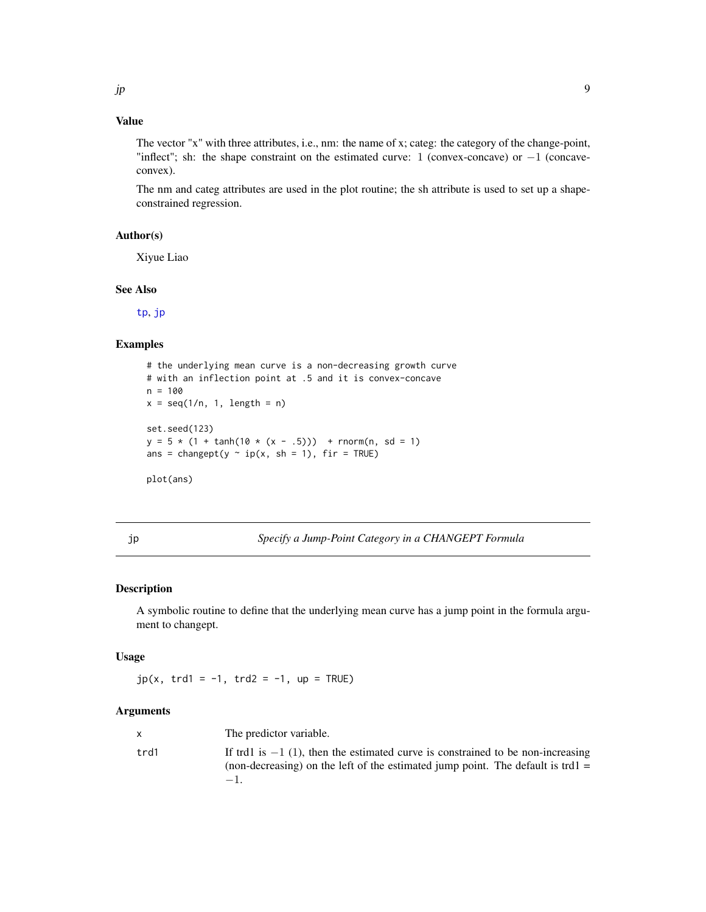#### <span id="page-8-0"></span>Value

The vector "x" with three attributes, i.e., nm: the name of x; categ: the category of the change-point, "inflect"; sh: the shape constraint on the estimated curve: 1 (convex-concave) or −1 (concaveconvex).

The nm and categ attributes are used in the plot routine; the sh attribute is used to set up a shapeconstrained regression.

#### Author(s)

Xiyue Liao

#### See Also

[tp](#page-10-1), [jp](#page-8-1)

#### Examples

```
# the underlying mean curve is a non-decreasing growth curve
# with an inflection point at .5 and it is convex-concave
n = 100x = \text{seq}(1/n, 1, \text{length} = n)set.seed(123)
y = 5 * (1 + \tanh(10 * (x - .5))) + \text{rnorm}(n, sd = 1)ans = changept(y \sim ip(x, sh = 1), fir = TRUE)
plot(ans)
```
<span id="page-8-1"></span>jp *Specify a Jump-Point Category in a CHANGEPT Formula*

#### Description

A symbolic routine to define that the underlying mean curve has a jump point in the formula argument to changept.

#### Usage

 $jp(x, trd1 = -1, trd2 = -1, up = TRUE)$ 

#### Arguments

|      | The predictor variable.                                                                                                                                                          |
|------|----------------------------------------------------------------------------------------------------------------------------------------------------------------------------------|
| trd1 | If trd1 is $-1$ (1), then the estimated curve is constrained to be non-increasing<br>(non-decreasing) on the left of the estimated jump point. The default is trd1 $=$<br>$-1$ . |
|      |                                                                                                                                                                                  |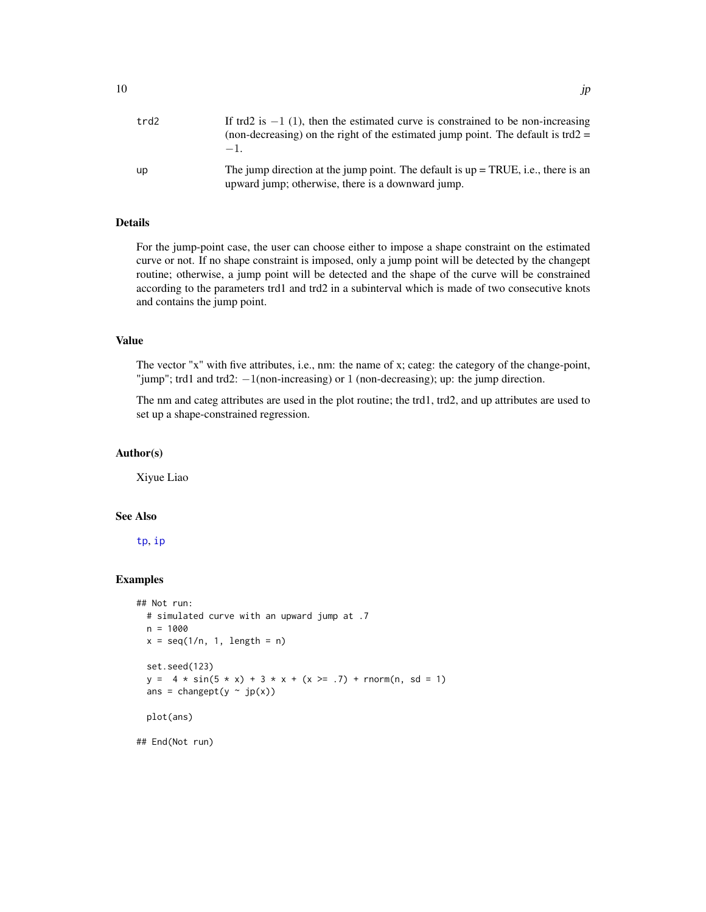<span id="page-9-0"></span>

| trd2 | If trd2 is $-1$ (1), then the estimated curve is constrained to be non-increasing<br>(non-decreasing) on the right of the estimated jump point. The default is trd2 =<br>$-1$ . |
|------|---------------------------------------------------------------------------------------------------------------------------------------------------------------------------------|
| up   | The jump direction at the jump point. The default is $up = TRUE$ , i.e., there is an<br>upward jump; otherwise, there is a downward jump.                                       |

#### Details

For the jump-point case, the user can choose either to impose a shape constraint on the estimated curve or not. If no shape constraint is imposed, only a jump point will be detected by the changept routine; otherwise, a jump point will be detected and the shape of the curve will be constrained according to the parameters trd1 and trd2 in a subinterval which is made of two consecutive knots and contains the jump point.

#### Value

The vector "x" with five attributes, i.e., nm: the name of x; categ: the category of the change-point, "jump"; trd1 and trd2: −1(non-increasing) or 1 (non-decreasing); up: the jump direction.

The nm and categ attributes are used in the plot routine; the trd1, trd2, and up attributes are used to set up a shape-constrained regression.

#### Author(s)

Xiyue Liao

#### See Also

[tp](#page-10-1), [ip](#page-7-1)

#### Examples

```
## Not run:
 # simulated curve with an upward jump at .7
 n = 1000
 x = \text{seq}(1/n, 1, \text{length} = n)set.seed(123)
 y = 4 * sin(5 * x) + 3 * x + (x > 7) + rnorm(n, sd = 1)ans = changept(y \sim jp(x))
 plot(ans)
```
## End(Not run)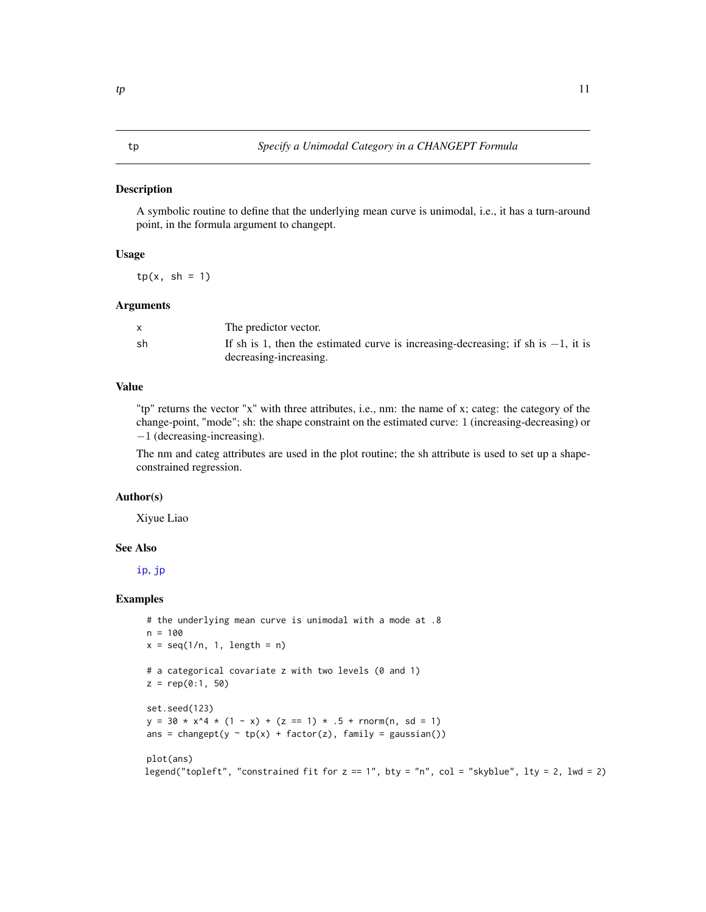#### <span id="page-10-1"></span><span id="page-10-0"></span>Description

A symbolic routine to define that the underlying mean curve is unimodal, i.e., it has a turn-around point, in the formula argument to changept.

#### Usage

 $tp(x, sh = 1)$ 

#### Arguments

|    | The predictor vector.                                                                |
|----|--------------------------------------------------------------------------------------|
| sh | If sh is 1, then the estimated curve is increasing-decreasing; if sh is $-1$ , it is |
|    | decreasing-increasing.                                                               |

#### Value

"tp" returns the vector "x" with three attributes, i.e., nm: the name of x; categ: the category of the change-point, "mode"; sh: the shape constraint on the estimated curve: 1 (increasing-decreasing) or −1 (decreasing-increasing).

The nm and categ attributes are used in the plot routine; the sh attribute is used to set up a shapeconstrained regression.

#### Author(s)

Xiyue Liao

#### See Also

[ip](#page-7-1), [jp](#page-8-1)

#### Examples

```
# the underlying mean curve is unimodal with a mode at .8
n = 100x = seq(1/n, 1, length = n)# a categorical covariate z with two levels (0 and 1)
z = rep(0:1, 50)set.seed(123)
y = 30 \times x^4 \times (1 - x) + (z == 1) \times .5 + \text{norm}(n, \text{sd} = 1)ans = changept(y \sim tp(x) + factor(z), family = gaussian())
plot(ans)
legend("topleft", "constrained fit for z = 1", bty = "n", col = "skyblue", lty = 2, lwd = 2)
```